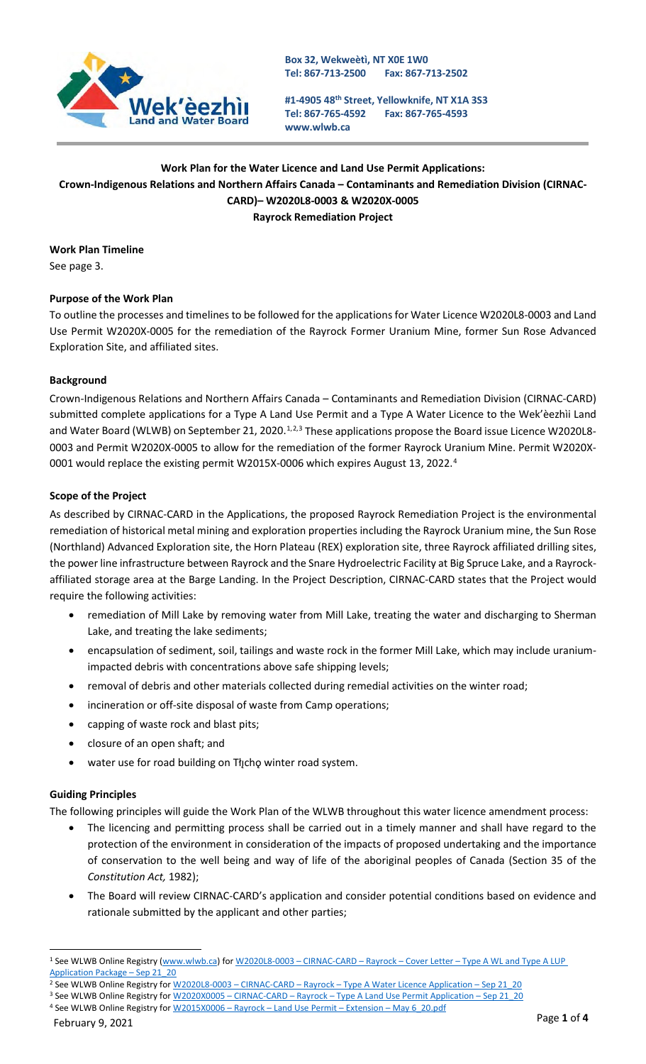

**Box 32, Wekweètì, NT X0E 1W0 Tel: 867-713-2500 Fax: 867-713-2502**

**#1-4905 48th Street, Yellowknife, NT X1A 3S3 Tel: 867-765-4592 [www.wlwb.ca](http://www.wlwb.ca/) Fax: 867-765-4593**

## **Work Plan for the Water Licence and Land Use Permit Applications: Crown-Indigenous Relations and Northern Affairs Canada – Contaminants and Remediation Division (CIRNAC-CARD)– W2020L8-0003 & W2020X-0005 Rayrock Remediation Project**

**Work Plan Timeline** See page 3.

# **Purpose of the Work Plan**

To outline the processes and timelines to be followed for the applications for Water Licence W2020L8-0003 and Land Use Permit W2020X-0005 for the remediation of the Rayrock Former Uranium Mine, former Sun Rose Advanced Exploration Site, and affiliated sites.

### **Background**

Crown-Indigenous Relations and Northern Affairs Canada – Contaminants and Remediation Division (CIRNAC-CARD) submitted complete applications for a Type A Land Use Permit and a Type A Water Licence to the Wek'èezhìi Land and Water Board (WLWB) on September 2[1](#page-0-0), [2](#page-0-1)020.<sup>1,2,[3](#page-0-2)</sup> These applications propose the Board issue Licence W2020L8-0003 and Permit W2020X-0005 to allow for the remediation of the former Rayrock Uranium Mine. Permit W2020X-0001 would replace the existing permit W2015X-0006 which expires August 13, 2022.<sup>[4](#page-0-3)</sup>

#### **Scope of the Project**

As described by CIRNAC-CARD in the Applications, the proposed Rayrock Remediation Project is the environmental remediation of historical metal mining and exploration properties including the Rayrock Uranium mine, the Sun Rose (Northland) Advanced Exploration site, the Horn Plateau (REX) exploration site, three Rayrock affiliated drilling sites, the power line infrastructure between Rayrock and the Snare Hydroelectric Facility at Big Spruce Lake, and a Rayrockaffiliated storage area at the Barge Landing. In the Project Description, CIRNAC-CARD states that the Project would require the following activities:

- remediation of Mill Lake by removing water from Mill Lake, treating the water and discharging to Sherman Lake, and treating the lake sediments;
- encapsulation of sediment, soil, tailings and waste rock in the former Mill Lake, which may include uraniumimpacted debris with concentrations above safe shipping levels;
- removal of debris and other materials collected during remedial activities on the winter road;
- incineration or off-site disposal of waste from Camp operations;
- capping of waste rock and blast pits;
- closure of an open shaft; and
- water use for road building on Tłįchę winter road system.

#### **Guiding Principles**

The following principles will guide the Work Plan of the WLWB throughout this water licence amendment process:

- The licencing and permitting process shall be carried out in a timely manner and shall have regard to the protection of the environment in consideration of the impacts of proposed undertaking and the importance of conservation to the well being and way of life of the aboriginal peoples of Canada (Section 35 of the *Constitution Act,* 1982);
- The Board will review CIRNAC-CARD's application and consider potential conditions based on evidence and rationale submitted by the applicant and other parties;

<span id="page-0-0"></span><sup>1</sup> See WLWB Online Registry [\(www.wlwb.ca\)](http://www.wlwb.ca/) for W2020L8-0003 – CIRNAC-CARD – Rayrock – Cover Letter – [Type A WL and Type A LUP](http://registry.mvlwb.ca/Documents/W2020L8-0003/W2020L8-0003%20-CIRNAC-CARD%20-%20Rayrock%20-%20%20Cover%20Letter%20-%20Type%20A%20WL%20and%20Type%20A%20LUP%20Application%20Package%20-%20Sep%2021_20.pdf)  [Application Package –](http://registry.mvlwb.ca/Documents/W2020L8-0003/W2020L8-0003%20-CIRNAC-CARD%20-%20Rayrock%20-%20%20Cover%20Letter%20-%20Type%20A%20WL%20and%20Type%20A%20LUP%20Application%20Package%20-%20Sep%2021_20.pdf) Sep 21\_20

<span id="page-0-1"></span><sup>&</sup>lt;sup>2</sup> See WLWB Online Registry for W2020L8-0003 - CIRNAC-CARD - Rayrock - Type A Water Licence Application - Sep 21\_20

<span id="page-0-3"></span><span id="page-0-2"></span><sup>3</sup> See WLWB Online Registry for W2020X0005 - CIRNAC-CARD - Rayrock - Type A Land Use Permit Application - Sep 21\_20 4 See WLWB Online Registry for W2015X0006 - Rayrock - Land Use Permit - Extension - May 6\_20.pdf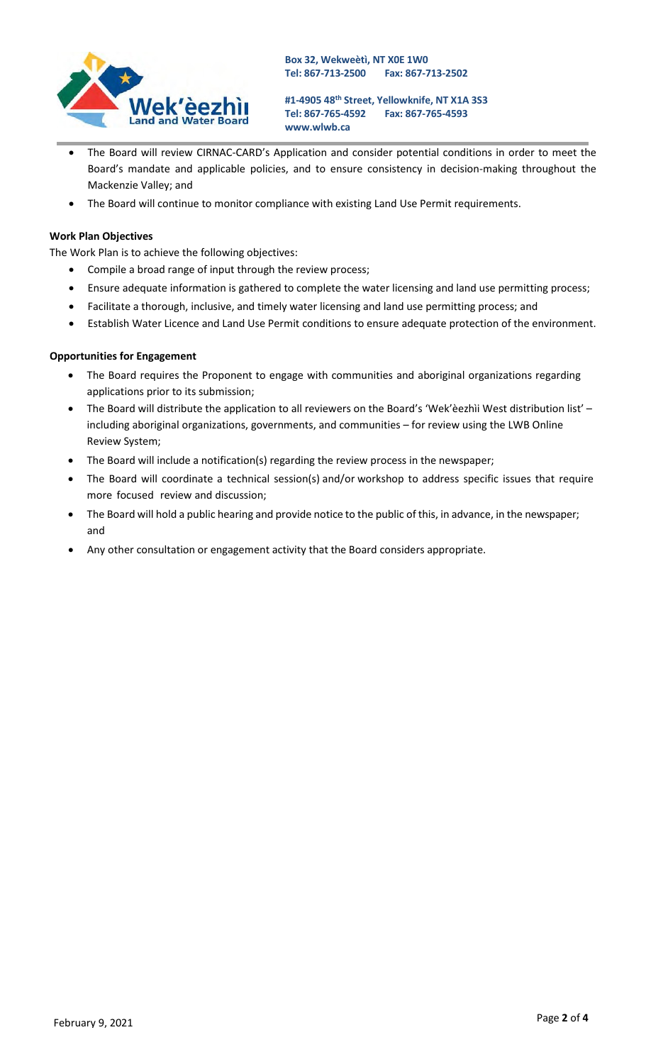

**#1-4905 48th Street, Yellowknife, NT X1A 3S3 Tel: 867-765-4592 [www.wlwb.ca](http://www.wlwb.ca/) Fax: 867-765-4593**

- The Board will review CIRNAC-CARD's Application and consider potential conditions in order to meet the Board's mandate and applicable policies, and to ensure consistency in decision-making throughout the Mackenzie Valley; and
- The Board will continue to monitor compliance with existing Land Use Permit requirements.

#### **Work Plan Objectives**

The Work Plan is to achieve the following objectives:

- Compile a broad range of input through the review process;
- Ensure adequate information is gathered to complete the water licensing and land use permitting process;
- Facilitate a thorough, inclusive, and timely water licensing and land use permitting process; and
- Establish Water Licence and Land Use Permit conditions to ensure adequate protection of the environment.

#### **Opportunities for Engagement**

- The Board requires the Proponent to engage with communities and aboriginal organizations regarding applications prior to its submission;
- The Board will distribute the application to all reviewers on the Board's 'Wek'èezhìi West distribution list' including aboriginal organizations, governments, and communities – for review using the LWB Online Review System;
- The Board will include a notification(s) regarding the review process in the newspaper;
- The Board will coordinate a technical session(s) and/or workshop to address specific issues that require more focused review and discussion;
- The Board will hold a public hearing and provide notice to the public of this, in advance, in the newspaper; and
- Any other consultation or engagement activity that the Board considers appropriate.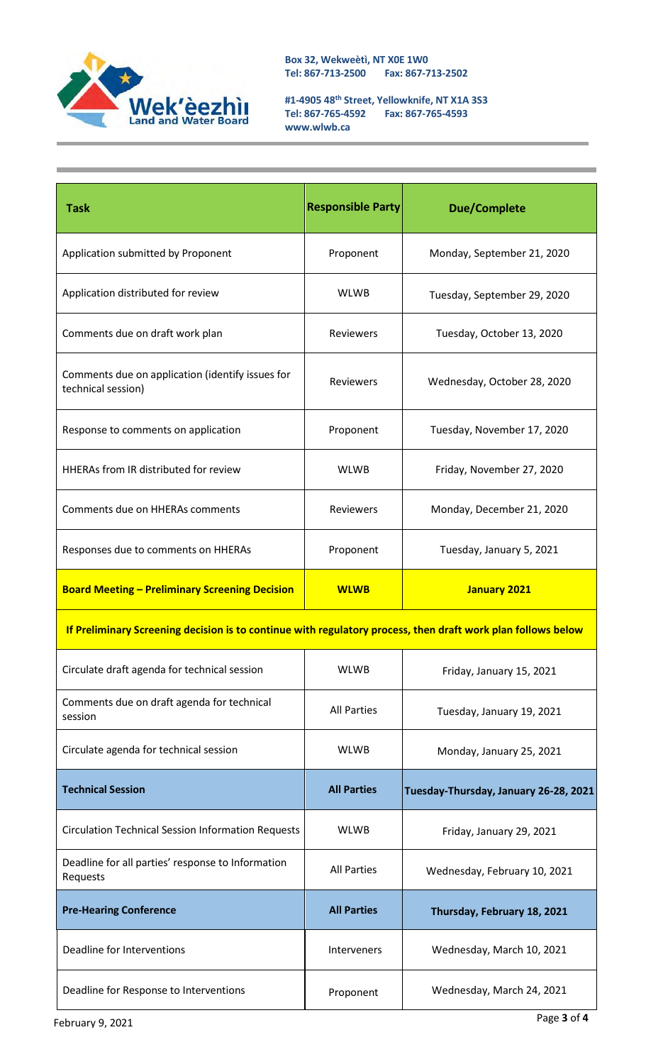

**Box 32, Wekweètì, NT X0E 1W0 Tel: 867-713-2500 Fax: 867-713-2502**

**#1-4905 48th Street, Yellowknife, NT X1A 3S3 Tel: 867-765-4592 Fax: 867-765-4593 [www.wlwb.ca](http://www.wlwb.ca/)**

| <b>Task</b>                                                                                                  | <b>Responsible Party</b> | <b>Due/Complete</b>                   |  |
|--------------------------------------------------------------------------------------------------------------|--------------------------|---------------------------------------|--|
| Application submitted by Proponent                                                                           | Proponent                | Monday, September 21, 2020            |  |
| Application distributed for review                                                                           | <b>WLWB</b>              | Tuesday, September 29, 2020           |  |
| Comments due on draft work plan                                                                              | Reviewers                | Tuesday, October 13, 2020             |  |
| Comments due on application (identify issues for<br>technical session)                                       | <b>Reviewers</b>         | Wednesday, October 28, 2020           |  |
| Response to comments on application                                                                          | Proponent                | Tuesday, November 17, 2020            |  |
| HHERAs from IR distributed for review                                                                        | <b>WLWB</b>              | Friday, November 27, 2020             |  |
| Comments due on HHERAs comments                                                                              | Reviewers                | Monday, December 21, 2020             |  |
| Responses due to comments on HHERAs                                                                          | Proponent                | Tuesday, January 5, 2021              |  |
| <b>Board Meeting - Preliminary Screening Decision</b>                                                        | <b>WLWB</b>              | <b>January 2021</b>                   |  |
| If Preliminary Screening decision is to continue with regulatory process, then draft work plan follows below |                          |                                       |  |
| Circulate draft agenda for technical session                                                                 | <b>WLWB</b>              | Friday, January 15, 2021              |  |
| Comments due on draft agenda for technical<br>session                                                        | <b>All Parties</b>       | Tuesday, January 19, 2021             |  |
| Circulate agenda for technical session                                                                       | <b>WLWB</b>              | Monday, January 25, 2021              |  |
| <b>Technical Session</b>                                                                                     | <b>All Parties</b>       | Tuesday-Thursday, January 26-28, 2021 |  |
| <b>Circulation Technical Session Information Requests</b>                                                    | <b>WLWB</b>              | Friday, January 29, 2021              |  |
| Deadline for all parties' response to Information<br>Requests                                                | <b>All Parties</b>       | Wednesday, February 10, 2021          |  |
| <b>Pre-Hearing Conference</b>                                                                                | <b>All Parties</b>       | Thursday, February 18, 2021           |  |
| Deadline for Interventions                                                                                   | Interveners              | Wednesday, March 10, 2021             |  |
| Deadline for Response to Interventions                                                                       | Proponent                | Wednesday, March 24, 2021             |  |